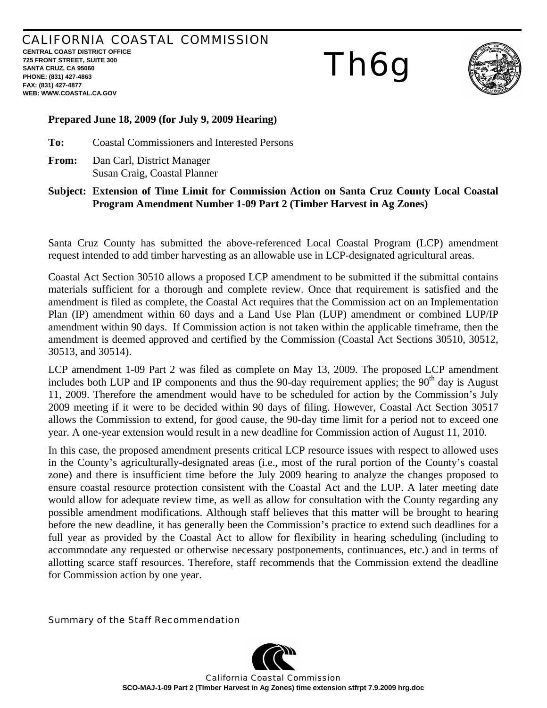## CALIFORNIA COASTAL COMMISSION **CENTRAL COAST DISTRICT OFFICE**

**725 FRONT STREET, SUITE 300 SANTA CRUZ, CA 95060 PHONE: (831) 427-4863 FAX: (831) 427-4877 WEB: WWW.COASTAL.CA.GOV**

# Th6g



### **Prepared June 18, 2009 (for July 9, 2009 Hearing)**

**To:** Coastal Commissioners and Interested Persons

**From:** Dan Carl, District Manager Susan Craig, Coastal Planner

#### **Subject: Extension of Time Limit for Commission Action on Santa Cruz County Local Coastal Program Amendment Number 1-09 Part 2 (Timber Harvest in Ag Zones)**

Santa Cruz County has submitted the above-referenced Local Coastal Program (LCP) amendment request intended to add timber harvesting as an allowable use in LCP-designated agricultural areas.

Coastal Act Section 30510 allows a proposed LCP amendment to be submitted if the submittal contains materials sufficient for a thorough and complete review. Once that requirement is satisfied and the amendment is filed as complete, the Coastal Act requires that the Commission act on an Implementation Plan (IP) amendment within 60 days and a Land Use Plan (LUP) amendment or combined LUP/IP amendment within 90 days. If Commission action is not taken within the applicable timeframe, then the amendment is deemed approved and certified by the Commission (Coastal Act Sections 30510, 30512, 30513, and 30514).

LCP amendment 1-09 Part 2 was filed as complete on May 13, 2009. The proposed LCP amendment includes both LUP and IP components and thus the 90-day requirement applies; the  $90<sup>th</sup>$  day is August 11, 2009. Therefore the amendment would have to be scheduled for action by the Commission's July 2009 meeting if it were to be decided within 90 days of filing. However, Coastal Act Section 30517 allows the Commission to extend, for good cause, the 90-day time limit for a period not to exceed one year. A one-year extension would result in a new deadline for Commission action of August 11, 2010.

In this case, the proposed amendment presents critical LCP resource issues with respect to allowed uses in the County's agriculturally-designated areas (i.e., most of the rural portion of the County's coastal zone) and there is insufficient time before the July 2009 hearing to analyze the changes proposed to ensure coastal resource protection consistent with the Coastal Act and the LUP. A later meeting date would allow for adequate review time, as well as allow for consultation with the County regarding any possible amendment modifications. Although staff believes that this matter will be brought to hearing before the new deadline, it has generally been the Commission's practice to extend such deadlines for a full year as provided by the Coastal Act to allow for flexibility in hearing scheduling (including to accommodate any requested or otherwise necessary postponements, continuances, etc.) and in terms of allotting scarce staff resources. Therefore, staff recommends that the Commission extend the deadline for Commission action by one year.

Summary of the Staff Recommendation



California Coastal Commission **SCO-MAJ-1-09 Part 2 (Timber Harvest in Ag Zones) time extension stfrpt 7.9.2009 hrg.doc**